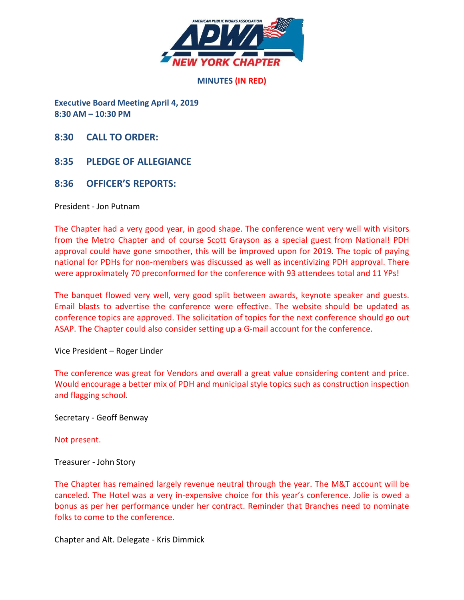

**MINUTES (IN RED)** 

**Executive Board Meeting April 4, 2019 8:30 AM – 10:30 PM** 

**8:30 CALL TO ORDER:**

**8:35 PLEDGE OF ALLEGIANCE**

#### **8:36 OFFICER'S REPORTS:**

President - Jon Putnam

The Chapter had a very good year, in good shape. The conference went very well with visitors from the Metro Chapter and of course Scott Grayson as a special guest from National! PDH approval could have gone smoother, this will be improved upon for 2019. The topic of paying national for PDHs for non-members was discussed as well as incentivizing PDH approval. There were approximately 70 preconformed for the conference with 93 attendees total and 11 YPs!

The banquet flowed very well, very good split between awards, keynote speaker and guests. Email blasts to advertise the conference were effective. The website should be updated as conference topics are approved. The solicitation of topics for the next conference should go out ASAP. The Chapter could also consider setting up a G-mail account for the conference.

#### Vice President – Roger Linder

The conference was great for Vendors and overall a great value considering content and price. Would encourage a better mix of PDH and municipal style topics such as construction inspection and flagging school.

Secretary - Geoff Benway

Not present.

Treasurer - John Story

The Chapter has remained largely revenue neutral through the year. The M&T account will be canceled. The Hotel was a very in-expensive choice for this year's conference. Jolie is owed a bonus as per her performance under her contract. Reminder that Branches need to nominate folks to come to the conference.

Chapter and Alt. Delegate - Kris Dimmick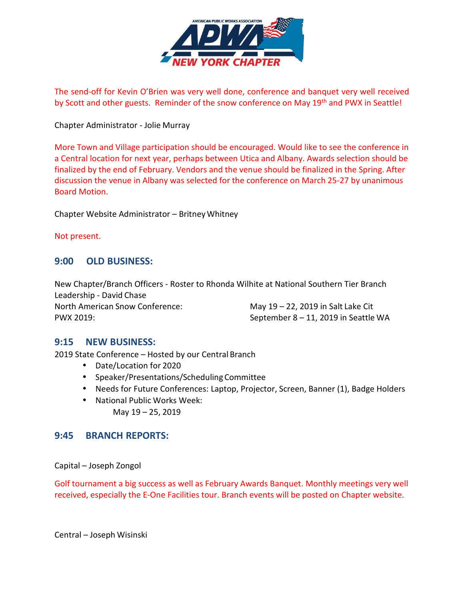

The send-off for Kevin O'Brien was very well done, conference and banquet very well received by Scott and other guests. Reminder of the snow conference on May 19<sup>th</sup> and PWX in Seattle!

Chapter Administrator - Jolie Murray

More Town and Village participation should be encouraged. Would like to see the conference in a Central location for next year, perhaps between Utica and Albany. Awards selection should be finalized by the end of February. Vendors and the venue should be finalized in the Spring. After discussion the venue in Albany was selected for the conference on March 25-27 by unanimous Board Motion.

Chapter Website Administrator – Britney Whitney

Not present.

# **9:00 OLD BUSINESS:**

New Chapter/Branch Officers - Roster to Rhonda Wilhite at National Southern Tier Branch Leadership - David Chase North American Snow Conference: May 19 – 22, 2019 in Salt Lake Cit PWX 2019: September 8 – 11, 2019 in Seattle WA

### **9:15 NEW BUSINESS:**

2019 State Conference – Hosted by our Central Branch

- Date/Location for 2020
- Speaker/Presentations/Scheduling Committee
- Needs for Future Conferences: Laptop, Projector, Screen, Banner (1), Badge Holders
- National Public Works Week: May 19 – 25, 2019

### **9:45 BRANCH REPORTS:**

Capital – Joseph Zongol

Golf tournament a big success as well as February Awards Banquet. Monthly meetings very well received, especially the E-One Facilities tour. Branch events will be posted on Chapter website.

Central – Joseph Wisinski